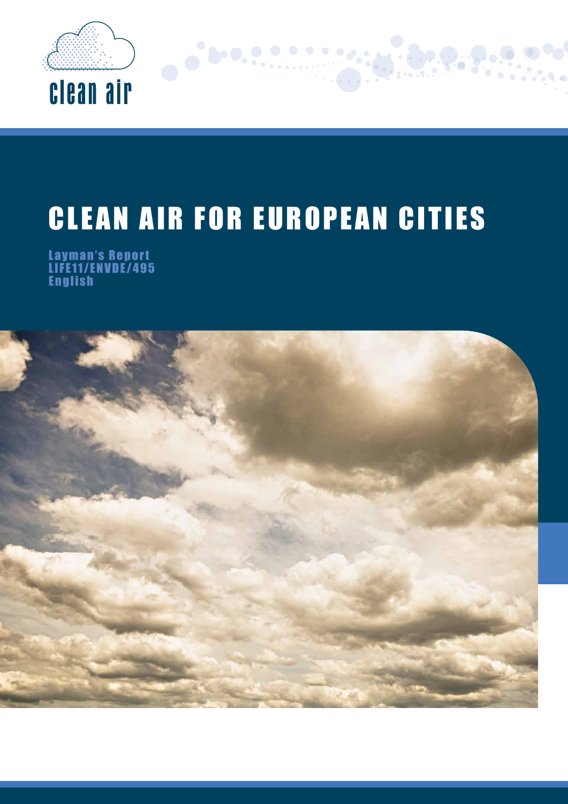

# Clean air for european cities

Layman's Report LIFE11/ENVDE/495 **English** 

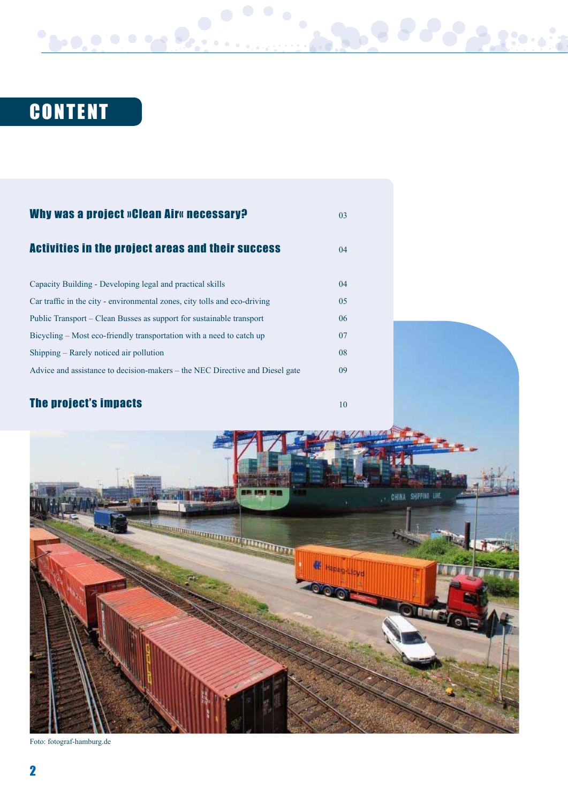## content

**b**-0,000 or 0,000

| Why was a project »Clean Air« necessary?                                     | 03  |
|------------------------------------------------------------------------------|-----|
| <b>Activities in the project areas and their success</b>                     | 04  |
| Capacity Building - Developing legal and practical skills                    | 04  |
| Car traffic in the city - environmental zones, city tolls and eco-driving    | 0.5 |
| Public Transport – Clean Busses as support for sustainable transport         | 06  |
| Bicycling - Most eco-friendly transportation with a need to catch up         | 07  |
| Shipping – Rarely noticed air pollution                                      | 08  |
| Advice and assistance to decision-makers – the NEC Directive and Diesel gate | 09  |

### The project's impacts 10 and 20 and 20 and 20 and 20 and 20 and 20 and 20 and 20 and 20 and 20 and 20 and 20 and 20 and 20 and 20 and 20 and 20 and 20 and 20 and 20 and 20 and 20 and 20 and 20 and 20 and 20 and 20 and 20 a



2236

Foto: fotograf-hamburg.de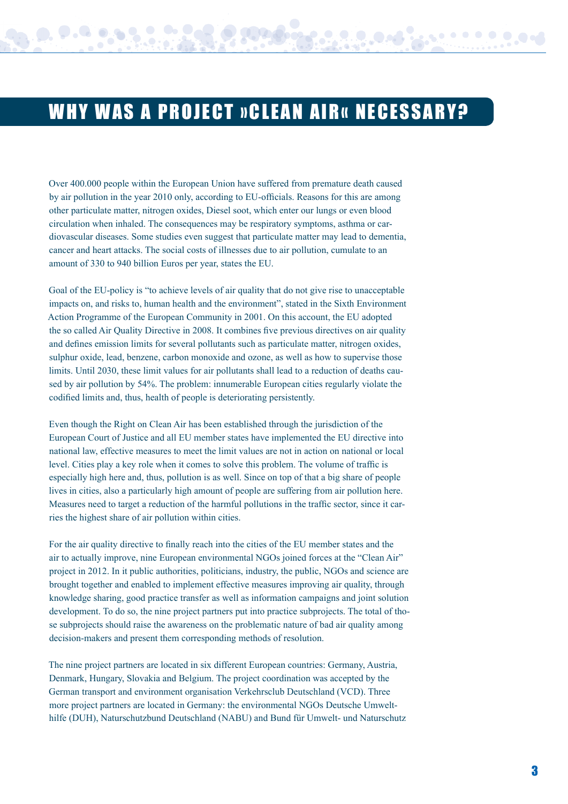### WHY WAS A PROJECT »CLEAN AIR« NECESSARY?

Over 400.000 people within the European Union have suffered from premature death caused by air pollution in the year 2010 only, according to EU-officials. Reasons for this are among other particulate matter, nitrogen oxides, Diesel soot, which enter our lungs or even blood circulation when inhaled. The consequences may be respiratory symptoms, asthma or cardiovascular diseases. Some studies even suggest that particulate matter may lead to dementia, cancer and heart attacks. The social costs of illnesses due to air pollution, cumulate to an amount of 330 to 940 billion Euros per year, states the EU.

Goal of the EU-policy is "to achieve levels of air quality that do not give rise to unacceptable impacts on, and risks to, human health and the environment", stated in the Sixth Environment Action Programme of the European Community in 2001. On this account, the EU adopted the so called Air Quality Directive in 2008. It combines five previous directives on air quality and defines emission limits for several pollutants such as particulate matter, nitrogen oxides, sulphur oxide, lead, benzene, carbon monoxide and ozone, as well as how to supervise those limits. Until 2030, these limit values for air pollutants shall lead to a reduction of deaths caused by air pollution by 54%. The problem: innumerable European cities regularly violate the codified limits and, thus, health of people is deteriorating persistently.

Even though the Right on Clean Air has been established through the jurisdiction of the European Court of Justice and all EU member states have implemented the EU directive into national law, effective measures to meet the limit values are not in action on national or local level. Cities play a key role when it comes to solve this problem. The volume of traffic is especially high here and, thus, pollution is as well. Since on top of that a big share of people lives in cities, also a particularly high amount of people are suffering from air pollution here. Measures need to target a reduction of the harmful pollutions in the traffic sector, since it carries the highest share of air pollution within cities.

For the air quality directive to finally reach into the cities of the EU member states and the air to actually improve, nine European environmental NGOs joined forces at the "Clean Air" project in 2012. In it public authorities, politicians, industry, the public, NGOs and science are brought together and enabled to implement effective measures improving air quality, through knowledge sharing, good practice transfer as well as information campaigns and joint solution development. To do so, the nine project partners put into practice subprojects. The total of those subprojects should raise the awareness on the problematic nature of bad air quality among decision-makers and present them corresponding methods of resolution.

The nine project partners are located in six different European countries: Germany, Austria, Denmark, Hungary, Slovakia and Belgium. The project coordination was accepted by the German transport and environment organisation Verkehrsclub Deutschland (VCD). Three more project partners are located in Germany: the environmental NGOs Deutsche Umwelthilfe (DUH), Naturschutzbund Deutschland (NABU) and Bund für Umwelt- und Naturschutz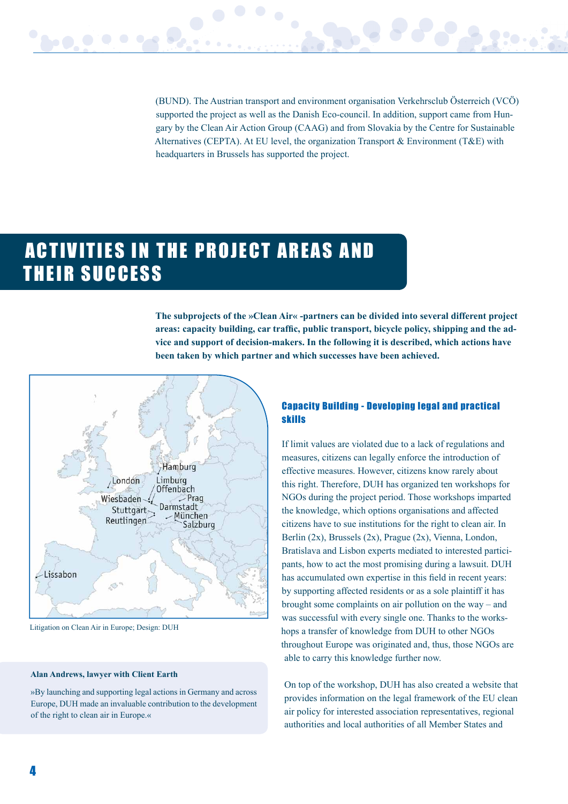

(BUND). The Austrian transport and environment organisation Verkehrsclub Österreich (VCÖ) supported the project as well as the Danish Eco-council. In addition, support came from Hungary by the Clean Air Action Group (CAAG) and from Slovakia by the Centre for Sustainable Alternatives (CEPTA). At EU level, the organization Transport & Environment (T&E) with headquarters in Brussels has supported the project.

### **ACTIVITIES IN THE PROJECT AREAS AND** their success

**The subprojects of the »Clean Air« -partners can be divided into several different project areas: capacity building, car traffic, public transport, bicycle policy, shipping and the advice and support of decision-makers. In the following it is described, which actions have been taken by which partner and which successes have been achieved.**



Litigation on Clean Air in Europe; Design: DUH

#### **Alan Andrews, lawyer with Client Earth**

»By launching and supporting legal actions in Germany and across Europe, DUH made an invaluable contribution to the development of the right to clean air in Europe.«

#### Capacity Building - Developing legal and practical skills

If limit values are violated due to a lack of regulations and measures, citizens can legally enforce the introduction of effective measures. However, citizens know rarely about this right. Therefore, DUH has organized ten workshops for NGOs during the project period. Those workshops imparted the knowledge, which options organisations and affected citizens have to sue institutions for the right to clean air. In Berlin (2x), Brussels (2x), Prague (2x), Vienna, London, Bratislava and Lisbon experts mediated to interested participants, how to act the most promising during a lawsuit. DUH has accumulated own expertise in this field in recent years: by supporting affected residents or as a sole plaintiff it has brought some complaints on air pollution on the way – and was successful with every single one. Thanks to the workshops a transfer of knowledge from DUH to other NGOs throughout Europe was originated and, thus, those NGOs are able to carry this knowledge further now.

On top of the workshop, DUH has also created a website that provides information on the legal framework of the EU clean air policy for interested association representatives, regional authorities and local authorities of all Member States and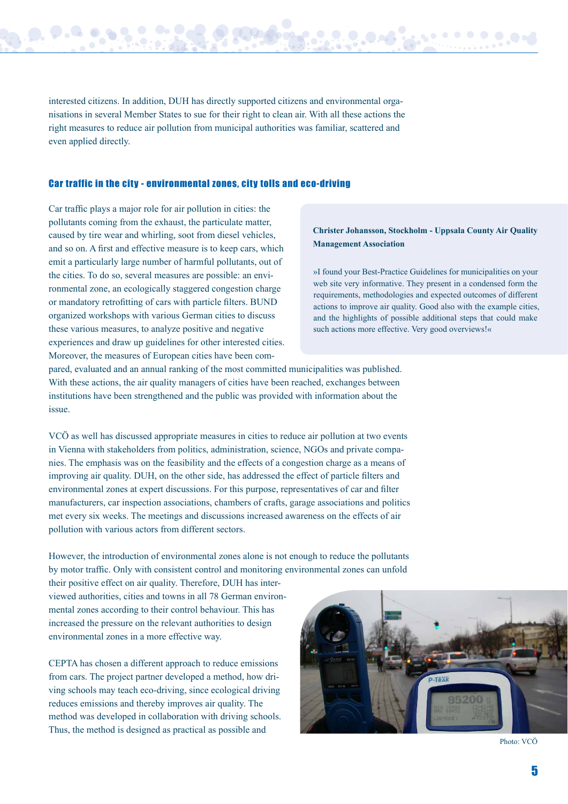interested citizens. In addition, DUH has directly supported citizens and environmental organisations in several Member States to sue for their right to clean air. With all these actions the right measures to reduce air pollution from municipal authorities was familiar, scattered and even applied directly.

#### Car traffic in the city - environmental zones, city tolls and eco-driving

Car traffic plays a major role for air pollution in cities: the pollutants coming from the exhaust, the particulate matter, caused by tire wear and whirling, soot from diesel vehicles, and so on. A first and effective measure is to keep cars, which emit a particularly large number of harmful pollutants, out of the cities. To do so, several measures are possible: an environmental zone, an ecologically staggered congestion charge or mandatory retrofitting of cars with particle filters. BUND organized workshops with various German cities to discuss these various measures, to analyze positive and negative experiences and draw up guidelines for other interested cities. Moreover, the measures of European cities have been com-

#### **Christer Johansson, Stockholm - Uppsala County Air Quality Management Association**

»I found your Best-Practice Guidelines for municipalities on your web site very informative. They present in a condensed form the requirements, methodologies and expected outcomes of different actions to improve air quality. Good also with the example cities, and the highlights of possible additional steps that could make such actions more effective. Very good overviews!«

pared, evaluated and an annual ranking of the most committed municipalities was published. With these actions, the air quality managers of cities have been reached, exchanges between institutions have been strengthened and the public was provided with information about the issue.

VCÖ as well has discussed appropriate measures in cities to reduce air pollution at two events in Vienna with stakeholders from politics, administration, science, NGOs and private companies. The emphasis was on the feasibility and the effects of a congestion charge as a means of improving air quality. DUH, on the other side, has addressed the effect of particle filters and environmental zones at expert discussions. For this purpose, representatives of car and filter manufacturers, car inspection associations, chambers of crafts, garage associations and politics met every six weeks. The meetings and discussions increased awareness on the effects of air pollution with various actors from different sectors.

However, the introduction of environmental zones alone is not enough to reduce the pollutants by motor traffic. Only with consistent control and monitoring environmental zones can unfold

their positive effect on air quality. Therefore, DUH has interviewed authorities, cities and towns in all 78 German environmental zones according to their control behaviour. This has increased the pressure on the relevant authorities to design environmental zones in a more effective way.

CEPTA has chosen a different approach to reduce emissions from cars. The project partner developed a method, how driving schools may teach eco-driving, since ecological driving reduces emissions and thereby improves air quality. The method was developed in collaboration with driving schools. Thus, the method is designed as practical as possible and



Photo: VCÖ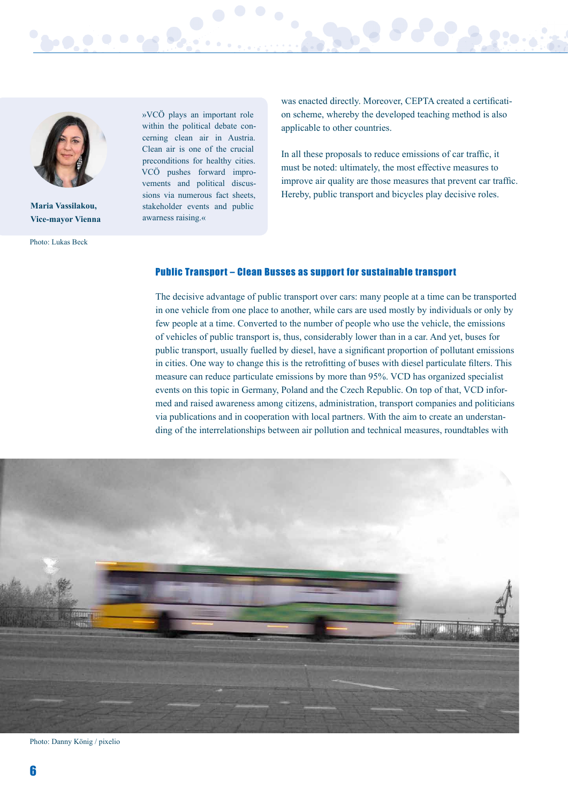



**Maria Vassilakou, Vice-mayor Vienna**

Photo: Lukas Beck

»VCÖ plays an important role within the political debate concerning clean air in Austria. Clean air is one of the crucial preconditions for healthy cities. VCÖ pushes forward improvements and political discussions via numerous fact sheets, stakeholder events and public awarness raising.«

was enacted directly. Moreover, CEPTA created a certification scheme, whereby the developed teaching method is also applicable to other countries.

In all these proposals to reduce emissions of car traffic, it must be noted: ultimately, the most effective measures to improve air quality are those measures that prevent car traffic. Hereby, public transport and bicycles play decisive roles.

#### Public Transport – Clean Busses as support for sustainable transport

The decisive advantage of public transport over cars: many people at a time can be transported in one vehicle from one place to another, while cars are used mostly by individuals or only by few people at a time. Converted to the number of people who use the vehicle, the emissions of vehicles of public transport is, thus, considerably lower than in a car. And yet, buses for public transport, usually fuelled by diesel, have a significant proportion of pollutant emissions in cities. One way to change this is the retrofitting of buses with diesel particulate filters. This measure can reduce particulate emissions by more than 95%. VCD has organized specialist events on this topic in Germany, Poland and the Czech Republic. On top of that, VCD informed and raised awareness among citizens, administration, transport companies and politicians via publications and in cooperation with local partners. With the aim to create an understanding of the interrelationships between air pollution and technical measures, roundtables with



Photo: Danny König / pixelio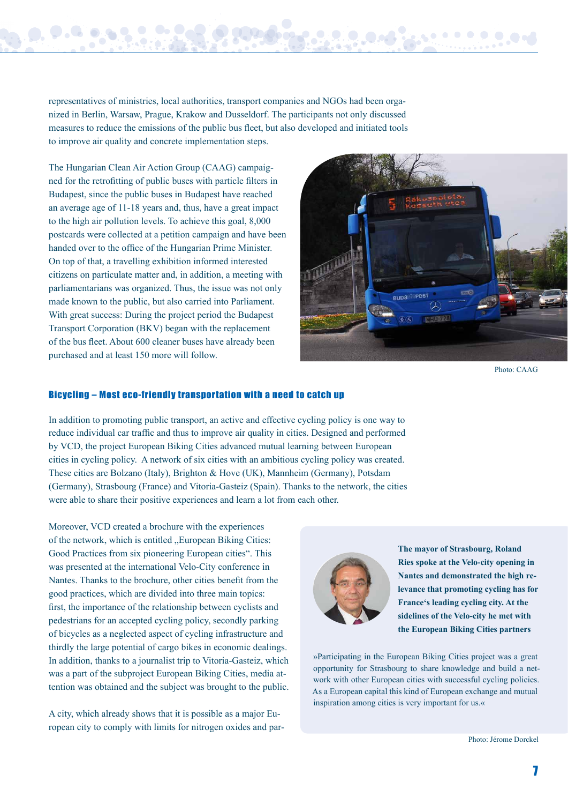representatives of ministries, local authorities, transport companies and NGOs had been organized in Berlin, Warsaw, Prague, Krakow and Dusseldorf. The participants not only discussed measures to reduce the emissions of the public bus fleet, but also developed and initiated tools to improve air quality and concrete implementation steps.

The Hungarian Clean Air Action Group (CAAG) campaigned for the retrofitting of public buses with particle filters in Budapest, since the public buses in Budapest have reached an average age of 11-18 years and, thus, have a great impact to the high air pollution levels. To achieve this goal, 8,000 postcards were collected at a petition campaign and have been handed over to the office of the Hungarian Prime Minister. On top of that, a travelling exhibition informed interested citizens on particulate matter and, in addition, a meeting with parliamentarians was organized. Thus, the issue was not only made known to the public, but also carried into Parliament. With great success: During the project period the Budapest Transport Corporation (BKV) began with the replacement of the bus fleet. About 600 cleaner buses have already been purchased and at least 150 more will follow.



Photo: CAAG

#### Bicycling – Most eco-friendly transportation with a need to catch up

In addition to promoting public transport, an active and effective cycling policy is one way to reduce individual car traffic and thus to improve air quality in cities. Designed and performed by VCD, the project European Biking Cities advanced mutual learning between European cities in cycling policy. A network of six cities with an ambitious cycling policy was created. These cities are Bolzano (Italy), Brighton & Hove (UK), Mannheim (Germany), Potsdam (Germany), Strasbourg (France) and Vitoria-Gasteiz (Spain). Thanks to the network, the cities were able to share their positive experiences and learn a lot from each other.

Moreover, VCD created a brochure with the experiences of the network, which is entitled "European Biking Cities: Good Practices from six pioneering European cities". This was presented at the international Velo-City conference in Nantes. Thanks to the brochure, other cities benefit from the good practices, which are divided into three main topics: first, the importance of the relationship between cyclists and pedestrians for an accepted cycling policy, secondly parking of bicycles as a neglected aspect of cycling infrastructure and thirdly the large potential of cargo bikes in economic dealings. In addition, thanks to a journalist trip to Vitoria-Gasteiz, which was a part of the subproject European Biking Cities, media attention was obtained and the subject was brought to the public.

A city, which already shows that it is possible as a major European city to comply with limits for nitrogen oxides and par-



**The mayor of Strasbourg, Roland Ries spoke at the Velo-city opening in Nantes and demonstrated the high relevance that promoting cycling has for France's leading cycling city. At the sidelines of the Velo-city he met with the European Biking Cities partners**

»Participating in the European Biking Cities project was a great opportunity for Strasbourg to share knowledge and build a network with other European cities with successful cycling policies. As a European capital this kind of European exchange and mutual inspiration among cities is very important for us.«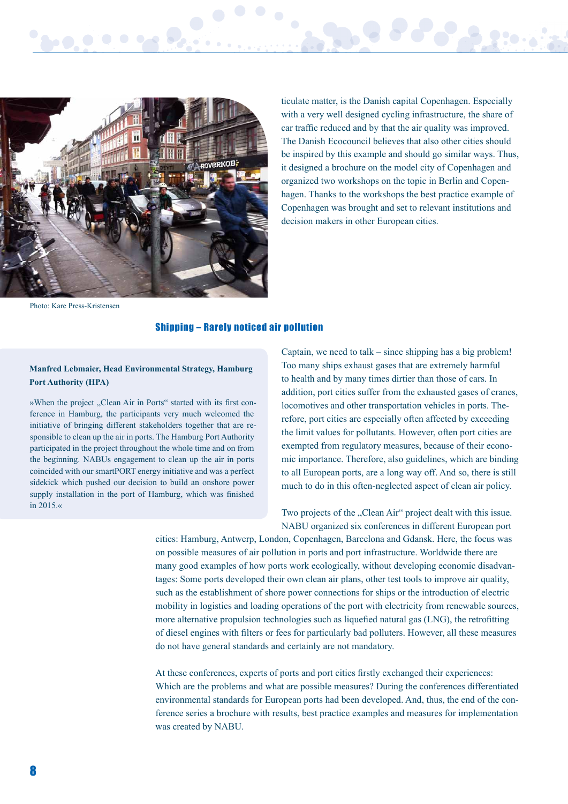



ticulate matter, is the Danish capital Copenhagen. Especially with a very well designed cycling infrastructure, the share of car traffic reduced and by that the air quality was improved. The Danish Ecocouncil believes that also other cities should be inspired by this example and should go similar ways. Thus, it designed a brochure on the model city of Copenhagen and organized two workshops on the topic in Berlin and Copenhagen. Thanks to the workshops the best practice example of Copenhagen was brought and set to relevant institutions and decision makers in other European cities.

Photo: Kare Press-Kristensen

#### Shipping – Rarely noticed air pollution

#### **Manfred Lebmaier, Head Environmental Strategy, Hamburg Port Authority (HPA)**

»When the project "Clean Air in Ports" started with its first conference in Hamburg, the participants very much welcomed the initiative of bringing different stakeholders together that are responsible to clean up the air in ports. The Hamburg Port Authority participated in the project throughout the whole time and on from the beginning. NABUs engagement to clean up the air in ports coincided with our smartPORT energy initiative and was a perfect sidekick which pushed our decision to build an onshore power supply installation in the port of Hamburg, which was finished in 2015.«

Captain, we need to talk – since shipping has a big problem! Too many ships exhaust gases that are extremely harmful to health and by many times dirtier than those of cars. In addition, port cities suffer from the exhausted gases of cranes, locomotives and other transportation vehicles in ports. Therefore, port cities are especially often affected by exceeding the limit values for pollutants. However, often port cities are exempted from regulatory measures, because of their economic importance. Therefore, also guidelines, which are binding to all European ports, are a long way off. And so, there is still much to do in this often-neglected aspect of clean air policy.

Two projects of the "Clean Air" project dealt with this issue. NABU organized six conferences in different European port

cities: Hamburg, Antwerp, London, Copenhagen, Barcelona and Gdansk. Here, the focus was on possible measures of air pollution in ports and port infrastructure. Worldwide there are many good examples of how ports work ecologically, without developing economic disadvantages: Some ports developed their own clean air plans, other test tools to improve air quality, such as the establishment of shore power connections for ships or the introduction of electric mobility in logistics and loading operations of the port with electricity from renewable sources, more alternative propulsion technologies such as liquefied natural gas (LNG), the retrofitting of diesel engines with filters or fees for particularly bad polluters. However, all these measures do not have general standards and certainly are not mandatory.

At these conferences, experts of ports and port cities firstly exchanged their experiences: Which are the problems and what are possible measures? During the conferences differentiated environmental standards for European ports had been developed. And, thus, the end of the conference series a brochure with results, best practice examples and measures for implementation was created by NABU.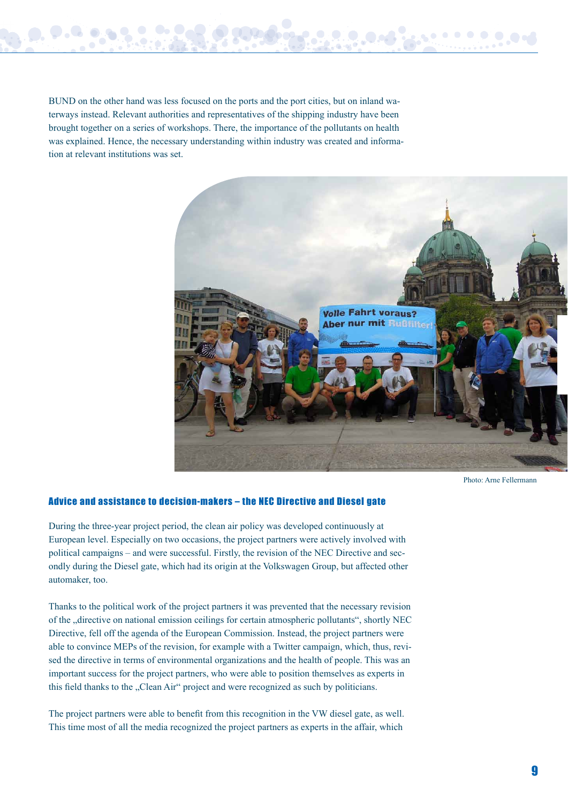BUND on the other hand was less focused on the ports and the port cities, but on inland waterways instead. Relevant authorities and representatives of the shipping industry have been brought together on a series of workshops. There, the importance of the pollutants on health was explained. Hence, the necessary understanding within industry was created and information at relevant institutions was set.



Photo: Arne Fellermann

#### Advice and assistance to decision-makers – the NEC Directive and Diesel gate

During the three-year project period, the clean air policy was developed continuously at European level. Especially on two occasions, the project partners were actively involved with political campaigns – and were successful. Firstly, the revision of the NEC Directive and secondly during the Diesel gate, which had its origin at the Volkswagen Group, but affected other automaker, too.

Thanks to the political work of the project partners it was prevented that the necessary revision of the "directive on national emission ceilings for certain atmospheric pollutants", shortly NEC Directive, fell off the agenda of the European Commission. Instead, the project partners were able to convince MEPs of the revision, for example with a Twitter campaign, which, thus, revised the directive in terms of environmental organizations and the health of people. This was an important success for the project partners, who were able to position themselves as experts in this field thanks to the "Clean Air" project and were recognized as such by politicians.

The project partners were able to benefit from this recognition in the VW diesel gate, as well. This time most of all the media recognized the project partners as experts in the affair, which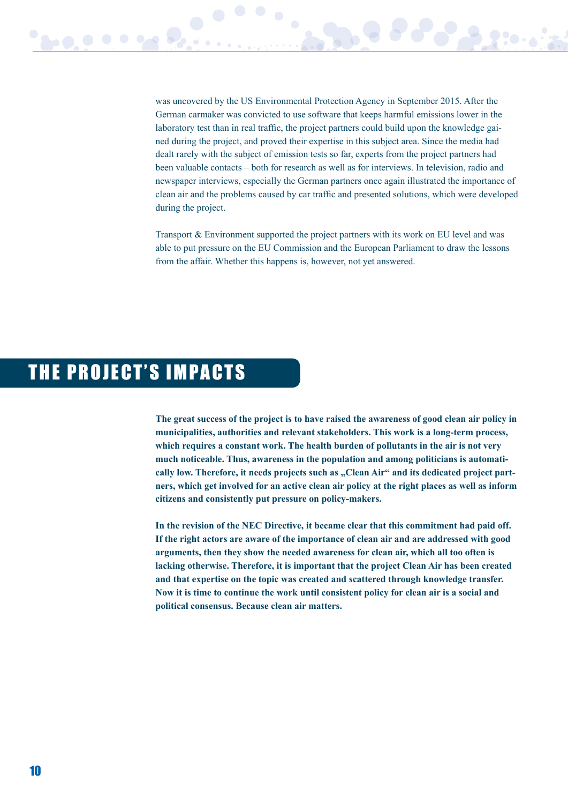

was uncovered by the US Environmental Protection Agency in September 2015. After the German carmaker was convicted to use software that keeps harmful emissions lower in the laboratory test than in real traffic, the project partners could build upon the knowledge gained during the project, and proved their expertise in this subject area. Since the media had dealt rarely with the subject of emission tests so far, experts from the project partners had been valuable contacts – both for research as well as for interviews. In television, radio and newspaper interviews, especially the German partners once again illustrated the importance of clean air and the problems caused by car traffic and presented solutions, which were developed during the project.

Transport & Environment supported the project partners with its work on EU level and was able to put pressure on the EU Commission and the European Parliament to draw the lessons from the affair. Whether this happens is, however, not yet answered.

### The project's impact s

**The great success of the project is to have raised the awareness of good clean air policy in municipalities, authorities and relevant stakeholders. This work is a long-term process, which requires a constant work. The health burden of pollutants in the air is not very much noticeable. Thus, awareness in the population and among politicians is automati**cally low. Therefore, it needs projects such as "Clean Air" and its dedicated project part**ners, which get involved for an active clean air policy at the right places as well as inform citizens and consistently put pressure on policy-makers.**

**In the revision of the NEC Directive, it became clear that this commitment had paid off. If the right actors are aware of the importance of clean air and are addressed with good arguments, then they show the needed awareness for clean air, which all too often is lacking otherwise. Therefore, it is important that the project Clean Air has been created and that expertise on the topic was created and scattered through knowledge transfer. Now it is time to continue the work until consistent policy for clean air is a social and political consensus. Because clean air matters.**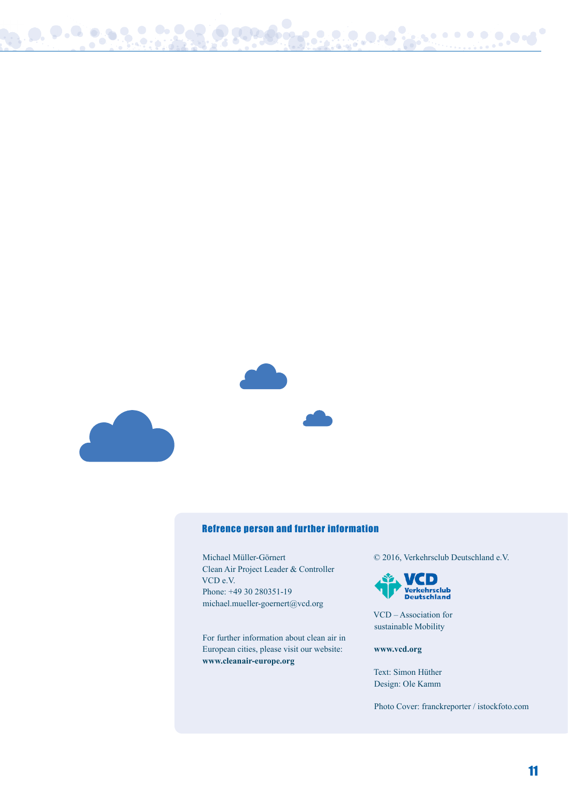

 $\odot$  .

#### Refrence person and further information

Michael Müller-Görnert Clean Air Project Leader & Controller VCD e.V. Phone: +49 30 280351-19 michael.mueller-goernert@vcd.org

For further information about clean air in European cities, please visit our website: **www.cleanair-europe.org**

© 2016, Verkehrsclub Deutschland e.V.



**<u><b>2000 - 2000 - 2000 - 2000 - 2000 - 2000 - 2000 - 2000 - 2000 - 2000 - 2000 - 2000 - 2000 - 2000 - 2000 - 2000**</u>

VCD – Association for sustainable Mobility

#### **www.vcd.org**

Text: Simon Hüther Design: Ole Kamm

Photo Cover: franckreporter / istockfoto.com